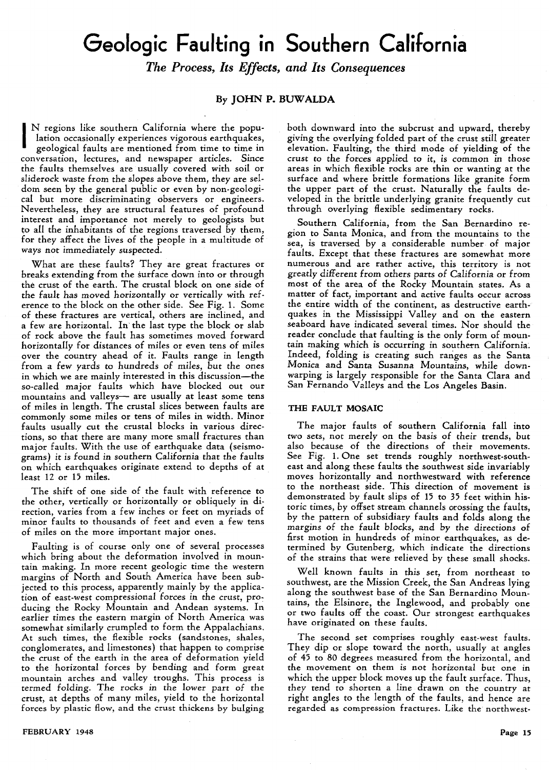# **Geologic Faulting** • **In Southern California**

*The Process, Its Effects, and Its Consequences* 

## By JOHN P. BUWALDA

I N regions like southern California where the population occasionally experiences vigorous earthquakes,

geological faults are mentioned from time to time in conversation, lectures, and newspaper articles. Since the faults themselves are usually covered with soil or sliderock waste from the slopes above them, they are seldom seen by the general public or even by non-geological but more discriminating observers or engineers. Nevertheless, they are structural features of profound interest and importance not merely to geologists but to all the inhabitants of the regions traversed by them, for they affect the lives of the people in a multitude of ways not immediately suspected.

What are these faults? They are great fractures or breaks extending from the surface down into or through the crust of the earth. The crustal block on one side of the fault has moved horizontally or vertically with reference to the block on the other side. See Fig. 1. Some of these fractures are vertical, others are inclined, and a few are horizontal. In'the last type the block or slab of rock above the fault has sometimes moved forward horizontally for distances of miles or even tens of miles over the country ahead of it. Faults range in length from a few yards to hundreds of miles, but the ones in which we are mainly interested in this discussion-the so-called major faults which have blocked out our mountains and valleys- are usually at least some tens of miles in length. The crustal slices between faults are commonly some miles or tens of miles in width. Minor faults usually cut the crustal blocks in various directions, so that there are many more small fractures than major faults. With the use of earthquake data (seismograms) it is found in southern California that the faults on which earthquakes originate extend to depths of at least 12 or 15 miles.

The shift of one side of the fault with reference to the other, vertically or horizontally or obliquely in direction, varies from a few inches or feet on myriads of minor faults to thousands of feet and even a few tens of miles on the more important major ones.

Faulting is of course only one of several processes which bring about the deformation involved in mountain making. In more recent geologic time the western margins of North and South America have been subjected to this process, apparently mainly by the application of east-west compressional forces in the crust, producing the Rocky Mountain and Andean systems. In earlier times the eastern margin of North America was somewhat similarly crumpled to form the Appalachians. At such times, the flexible rocks (sandstones, shales, conglomerates, and limestones) that happen to comprise the crust of the earth in the area of deformation yield to the horizontal forces by bending and form great mountain arches and valley troughs. This process is termed folding. The rocks in the lower part of the crust, at depths of many miles, yield to the horizontal forces by plastic flow, and the crust thickens by bulging both downward into the subcrust and upward, thereby giving the overlying folded part of the crust still greater elevation. Faulting, the third mode of yielding of the crust to the forces applied to it, is common in those areas in which flexible rocks are thin or wanting at the surface and where brittle formations like granite form the upper part of the crust. Naturally the faults developed in the brittle underlying granite frequently cut through overlying flexible sedimentary rocks.

Southern California, from the San Bernardino region to Santa Monica, and from the mountains to the sea, is traversed by a considerable number of major faults. Except that these fractures are somewhat more numerous and are rather active, this territory is not greatly different from others parts of California or from most of the area of the Rocky Mountain states. As a matter of fact, important and active faults occur across the entire width of the continent, as destructive earthquakes in the Mississippi Valley and on the eastern seaboard have indicated several times. Nor should the reader conclude that faulting is the only form of mountain making which is occurring in southern California. Indeed, folding is creating such ranges as the Santa Monica and Santa Susanna Mountains, while downwarping is largely responsible for the Santa Clara and San Fernando Valleys and the Los Angeles Basin.

## THE FAULT MOSAIC

The major faults of southern California fall into two sets, not merely on the basis of their trends, but also because of the directions of their movements. See Fig. 1. One set trends roughly northwest-southeast and along these faults the southwest side invariably moves horizontally and northwestward with reference to the northeast side. This direction of movement is demonstrated by fault slips of 15 to 35 feet within historic times, by offset stream channels orossing the faults, by the pattern of subsidiary faults and folds along the margins of the fault blocks, and by the directions of first motion in hundreds of minor earthquakes, as determined by Gutenberg, which indicate the directions of the strains that were relieved by these small shocks.

Well known faults in this set, from northeast to southwest, are the Mission Creek, the San Andreas lying along the southwest base of the San Bernardino Mountains, the Elsinore, the Inglewood, and probably one or two faults off the coast. Our strongest earthquakes have originated on these faults.

The second set comprises roughly east-west faults. They dip or slope toward the north, usually at angles of 45 to 80 degrees measured from the horizontal, and the movement on them is not horizontal but one in which the upper block moves up the fault surface. Thus, they tend to shorten a line drawn on the country at right angles to the length of the faults, and hence are regarded as compression fractures. Like the northwest-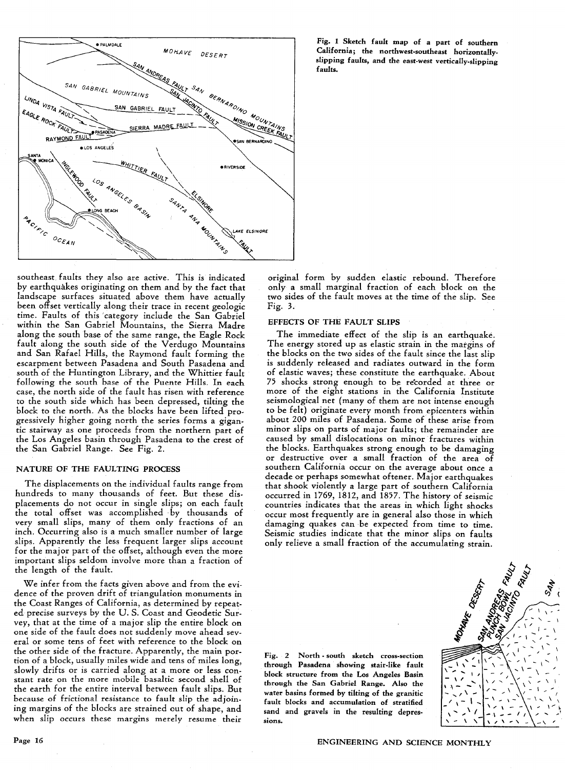

southeast. faults they also are active. This is indicated by earthquakes originating on them and by the fact that landscape surfaces situated above them have actually been offset vertically along their trace in recent geologic time. Faults of this 'category include the San Gabriel within the San Gabriel Mountains, the Sierra Madre along the south base of the same range, the Eagle Rock fault along the south side of the Verdugo Mountains and San Rafael Hills, the Raymond fault forming the escarpment between Pasadena and South Pasadena and south of the Huntington Library, and the Whittier fault following the south base of the Puente Hills. In each case, the north side of the fault has risen with reference to the south side which has been depressed, tilting the block to the north. As the blocks have been lifted progressively higher going north the series forms a gigantic stairway as one proceeds from the northern part of the Los Angeles basin through Pasadena to the crest of the San Gabriel Range. See Fig. 2.

## NATURE OF THE FAULTING PROCESS

The displacements on the individual faults range from hundreds to many thousands of feet. But these displacements do not occur in single slips; on each fault the total offset was accomplished· by thousands of very small slips, many of them only fractions of an inch. Occurring also is a much smaller number of large slips. Apparently the less frequent larger slips account for the major part of the offset, although even the more important slips seldom involve more than a fraction of the length of the fault.

We infer from the facts given above and from the evidence of the proven drift of triangulation monuments in the Coast Ranges of California, as determined by repeated precise surveys by the U. S. Coast and Geodetic Survey, that at the time of a major slip the entire block on one side of the fault does not suddenly move ahead several or some tens of feet with reference to the block on the other side of the fracture. Apparently, the main portion of a block, usually miles wide and tens of miles long, slowly drifts or is carried along at a more or less constant rate on the more mobile basaltic second shell of the earth for the entire interval between fault slips. But because of frictional resistance to fault slip the adjoining margins of the blocks are strained out of shape, and when slip occurs these margins merely resume their

original form by sudden elastic rebound. Therefore only a small marginal fraction of each block on the two sides of the fault moves at the time of the slip. See

## EFFECTS OF THE FAULT SLIPS

Fig. 3.

The immediate effect of the slip is an earthquake. The energy stored up as elastic strain in the margins of the blocks on the two sides of the fault since the last slip is suddenly released and radiates outward in the form of elastic waves; these constitute the earthquake. About 75 shocks strong enough to be recorded at three or more of the eight stations in the California Institute seismological net (many of them are not intense enough to be felt) originate every month from epicenters within about 200 miles of Pasadena. Some of these arise from minor slips on parts of major faults; the remainder are caused by small dislocations on minor fractures within the blocks. Earthquakes strong enough to be damaging or destructive over a small fraction of the area of southern California occur on the average about once a decade or perhaps somewhat oftener. Major earthquakes that shook violently a large part of southern California occurred in 1769, 1812, and 1857. The history of seismic countries indicates that the areas in which light shocks occur most frequently are in general also those in which damaging quakes can be expected from time to time. Seismic studies indicate that the minor slips on faults only relieve a small fraction of the accumulating strain.

Fig. 2 North - south sketch cross-section through Pasadena showing stair·like fault block structure from the Los Angeles Basin through the San Gabriel Range. Also the water basins formed by tilting of the granitic fault blocks and accumulation of stratified sand and gravels in the resulting depres**sions.** 

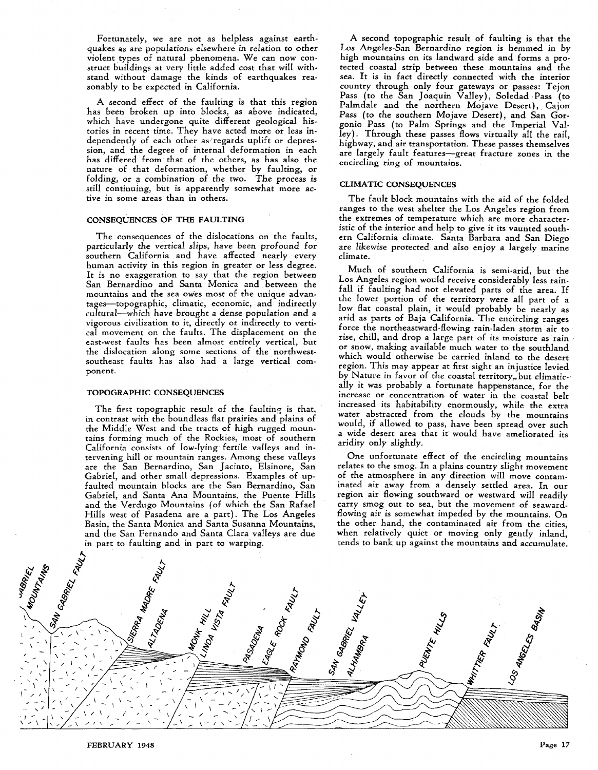Fortunately, we are not as helpless against earthquakes as are populations elsewhere in relation to other violent types of natural phenomena. We can now construct buildings at very little added cost that will withstand without damage the kinds of earthquakes reasonably to be expected in California.

A second effect of the faulting is that this region has been broken up into blocks, as above indicated, which have undergone quite different geological histories in recent time. They have acted more or less independently of each other as/regards uplift or depression, and the degree of internal deformation in each has differed from that of the others, as has also the nature of that deformation, whether by faulting, or folding, or a combination of the two. The process is still continuing, but is apparently somewhat more active in some areas than in others.

# CONSEQUENCES OF THE FAULTING

The consequences of the dislocations on the faults, particularly the vertical slips, have been profound for southern California and have affected nearly every human activity in this region in greater or less degree. It is no exaggeration to say that the region between San Bernardino and Santa Monica and between the mountains and the sea owes most of the unique advantages-topographic, climatic, economic, and indirectly cultural-which have brought a dense population and a vigorous civilization to it, directly or indirectly to vertical movement on the faults. The displacement on the east-west faults has been almost entirely vertical, but the dislocation along some sections of the northwestsoutheast faults has also had a large vertical component.

#### TOPOGRAPHIC CONSEQUENCES

The first topographic result of the faulting is that. in contrast with the boundless flat prairies and plains of the Middle West and the tracts of high rugged mountains forming much of the Rockies, most of southern California consists of low-lying fertile valleys and intervening hill or mountain ranges. Among these valleys are the San Bernardino, San Jacinto, Elsinore, San Gabriel, and other small depressions. Examples of upfaulted mountain blocks are the San Bernardino, San Gabriel, and Santa Ana Mountains, the Puente Hills and the Verdugo Mountains (of which the San Rafael Hills west of Pasadena are a part). The Los Angeles Basin, the Santa Monica and Santa Susanna Mountains, and the San Fernando and Santa Clara valleys are due in part to faulting and in part to warping.

A second topographic result of faulting is that the Los Angeles-San Bernardino region is hemmed in by high mountains on its landward side and forms a protected coastal strip between these mountains and the sea. It is in fact directly connected with the interior country through only four gateways or passes: Tejon Pass (to the San Joaquin Valley), Soledad Pass (to Palmdale and the northern Mojave Desert), Cajon Pass *(to* the southern Mojave Desert), and San Gorgonio Pass (to Palm Springs and the Imperial Valley). Through these passes flows virtually all the rail, highway, and air transportation. These passes themselves are largely fault features-great fracture zones in the encircling ring of mountains.

## CLIMATIC CONSEQUENCES

The fault block mountains with the aid of the folded ranges to the west shelter the Los Angeles region from the extremes of temperature which are more characteristic of the interior and help to give it its vaunted southern California climate. Santa Barbara and San Diego are likewise protected and also enjoy a largely marine climate.

Much of southern California is semi-arid, but the Los Angeles region would receive considerably less rainfall if faulting had not elevated parts of the area. If the lower portion of the territory were all part of a low flat coastal plain, it would probably be nearly as arid as parts of Baja California. The encircling ranges force the northeastward-flowing rain-laden storm air to rise, chill, and drop a large part of its moisture as rain or snow, making available much water to the southland which would otherwise be carried inland to the desert region. This may appear at first sight an injustice levied by Nature in favor of the coastal territory,. but climatic-' ally it was probably a fortunate happenstance, for the increase or concentration of water in the coastal belt increased its habitability enormously, while the extra water abstracted from the clouds by the mountains would, if allowed to pass, have been spread over such a wide desert area that it would have' ameliorated its aridity only slightly.

One unfortunate effect of the encircling mountains relates to the smog. In a plains country slight movement of the atmosphere in any direction will move contaminated air away from a densely settled area. In our region air flowing southward or westward will readily carry smog out to sea, but the movement of seawardflowing air is somewhat impeded by the mountains. On the other hand, the contaminated air from the cities, when relatively quiet or moving only gently inland, tends to bank up against the mountains and accumulate.